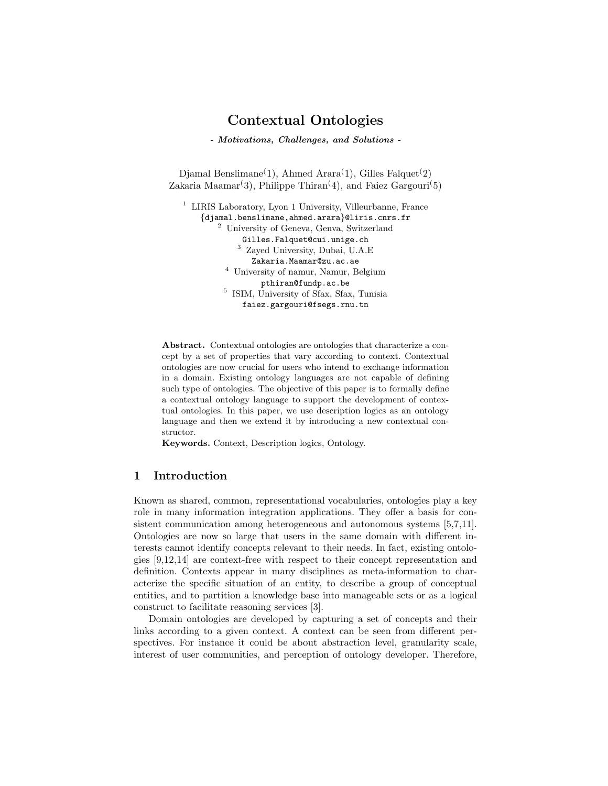# Contextual Ontologies

*- Motivations, Challenges, and Solutions -*

Djamal Benslimane<sup>(1)</sup>, Ahmed Arara<sup>(1</sup>), Gilles Falquet<sup>(2)</sup> Zakaria Maamar<sup>(2</sup>3), Philippe Thiran<sup>(2</sup>4), and Faiez Gargouri<sup>(5</sup>)

<sup>1</sup> LIRIS Laboratory, Lyon 1 University, Villeurbanne, France {djamal.benslimane, ahmed.arara}@liris.cnrs.fr <sup>2</sup> University of Geneva, Genva, Switzerland Gilles.Falquet@cui.unige.ch <sup>3</sup> Zayed University, Dubai, U.A.E Zakaria.Maamar@zu.ac.ae <sup>4</sup> University of namur, Namur, Belgium pthiran@fundp.ac.be <sup>5</sup> ISIM, University of Sfax, Sfax, Tunisia faiez.gargouri@fsegs.rnu.tn

Abstract. Contextual ontologies are ontologies that characterize a concept by a set of properties that vary according to context. Contextual ontologies are now crucial for users who intend to exchange information in a domain. Existing ontology languages are not capable of defining such type of ontologies. The objective of this paper is to formally define a contextual ontology language to support the development of contextual ontologies. In this paper, we use description logics as an ontology language and then we extend it by introducing a new contextual constructor.

Keywords. Context, Description logics, Ontology.

## 1 Introduction

Known as shared, common, representational vocabularies, ontologies play a key role in many information integration applications. They offer a basis for consistent communication among heterogeneous and autonomous systems [5,7,11]. Ontologies are now so large that users in the same domain with different interests cannot identify concepts relevant to their needs. In fact, existing ontologies [9,12,14] are context-free with respect to their concept representation and definition. Contexts appear in many disciplines as meta-information to characterize the specific situation of an entity, to describe a group of conceptual entities, and to partition a knowledge base into manageable sets or as a logical construct to facilitate reasoning services [3].

Domain ontologies are developed by capturing a set of concepts and their links according to a given context. A context can be seen from different perspectives. For instance it could be about abstraction level, granularity scale, interest of user communities, and perception of ontology developer. Therefore,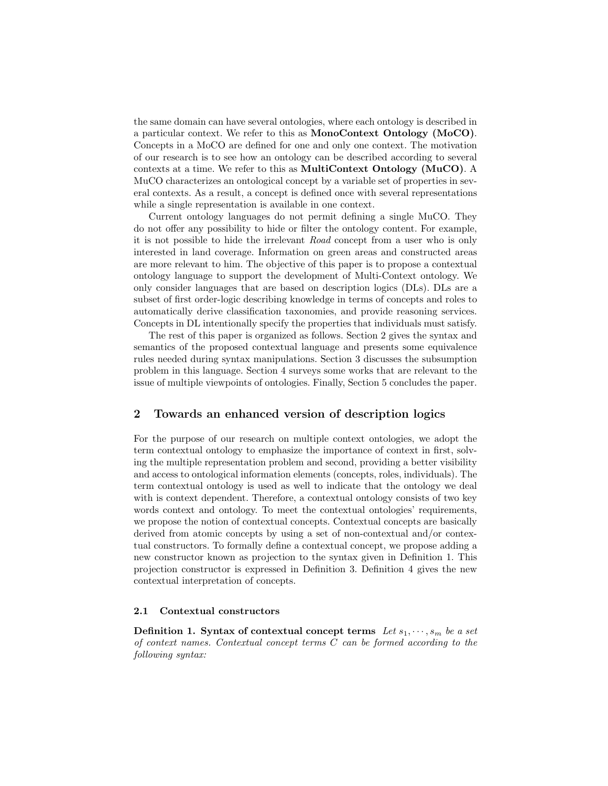the same domain can have several ontologies, where each ontology is described in a particular context. We refer to this as MonoContext Ontology (MoCO). Concepts in a MoCO are defined for one and only one context. The motivation of our research is to see how an ontology can be described according to several contexts at a time. We refer to this as MultiContext Ontology (MuCO). A MuCO characterizes an ontological concept by a variable set of properties in several contexts. As a result, a concept is defined once with several representations while a single representation is available in one context.

Current ontology languages do not permit defining a single MuCO. They do not offer any possibility to hide or filter the ontology content. For example, it is not possible to hide the irrelevant Road concept from a user who is only interested in land coverage. Information on green areas and constructed areas are more relevant to him. The objective of this paper is to propose a contextual ontology language to support the development of Multi-Context ontology. We only consider languages that are based on description logics (DLs). DLs are a subset of first order-logic describing knowledge in terms of concepts and roles to automatically derive classification taxonomies, and provide reasoning services. Concepts in DL intentionally specify the properties that individuals must satisfy.

The rest of this paper is organized as follows. Section 2 gives the syntax and semantics of the proposed contextual language and presents some equivalence rules needed during syntax manipulations. Section 3 discusses the subsumption problem in this language. Section 4 surveys some works that are relevant to the issue of multiple viewpoints of ontologies. Finally, Section 5 concludes the paper.

### 2 Towards an enhanced version of description logics

For the purpose of our research on multiple context ontologies, we adopt the term contextual ontology to emphasize the importance of context in first, solving the multiple representation problem and second, providing a better visibility and access to ontological information elements (concepts, roles, individuals). The term contextual ontology is used as well to indicate that the ontology we deal with is context dependent. Therefore, a contextual ontology consists of two key words context and ontology. To meet the contextual ontologies' requirements, we propose the notion of contextual concepts. Contextual concepts are basically derived from atomic concepts by using a set of non-contextual and/or contextual constructors. To formally define a contextual concept, we propose adding a new constructor known as projection to the syntax given in Definition 1. This projection constructor is expressed in Definition 3. Definition 4 gives the new contextual interpretation of concepts.

#### 2.1 Contextual constructors

Definition 1. Syntax of contextual concept terms Let  $s_1, \dots, s_m$  be a set of context names. Contextual concept terms C can be formed according to the following syntax: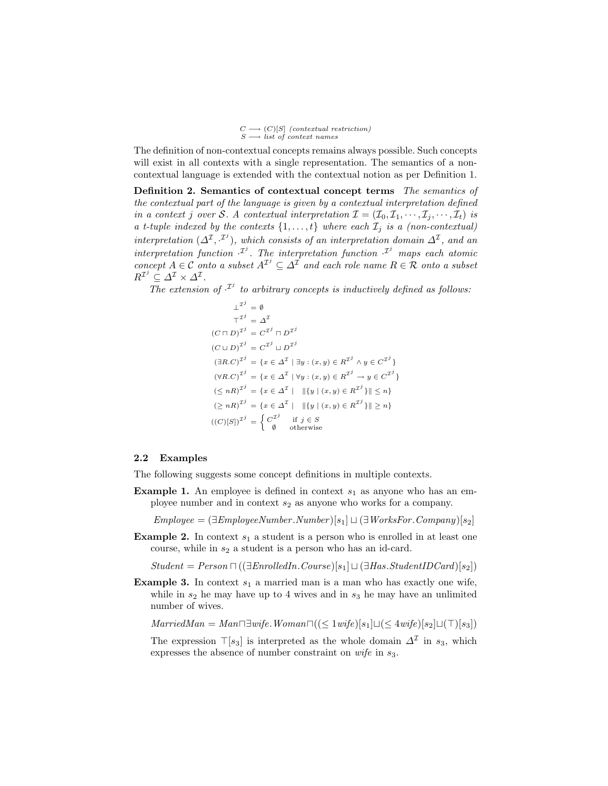$$
C \longrightarrow (C)[S] (contextual restriction)
$$
  
 
$$
S \longrightarrow
$$
 list of context names

The definition of non-contextual concepts remains always possible. Such concepts will exist in all contexts with a single representation. The semantics of a noncontextual language is extended with the contextual notion as per Definition 1.

Definition 2. Semantics of contextual concept terms The semantics of the contextual part of the language is given by a contextual interpretation defined in a context j over S. A contextual interpretation  $\mathcal{I} = (\mathcal{I}_0, \mathcal{I}_1, \cdots, \mathcal{I}_j, \cdots, \mathcal{I}_t)$  is a t-tuple indexed by the contexts  $\{1, \ldots, t\}$  where each  $\mathcal{I}_j$  is a (non-contextual) interpretation  $(\Delta^{\mathcal{I}}, \cdot^{\mathcal{I}^j})$ , which consists of an interpretation domain  $\Delta^{\mathcal{I}}$ , and an interpretation function  $\mathcal{I}^j$ . The interpretation function  $\mathcal{I}^j$  maps each atomic concept  $A \in \mathcal{C}$  onto a subset  $A^{\mathcal{I}^j} \subseteq \Delta^{\mathcal{I}}$  and each role name  $R \in \mathcal{R}$  onto a subset  $R^{\mathcal{I}^j} \subseteq \varDelta^{\mathcal{I}} \times \varDelta^{\mathcal{I}}.$ 

The extension of  $\cdot^{\mathcal{I}^j}$  to arbitrary concepts is inductively defined as follows:

$$
\begin{aligned}\n\mathbf{L}^{Tj} &= \emptyset \\
\mathbf{T}^{Tj} &= \Delta^T \\
(C \sqcap D)^{Tj} &= C^{Tj} \sqcap D^{Tj} \\
(C \sqcup D)^{Tj} &= C^{Tj} \sqcup D^{Tj} \\
(\exists R.C)^{Tj} &= \{x \in \Delta^T \mid \exists y : (x, y) \in R^{Tj} \land y \in C^{Tj}\} \\
(\forall R.C)^{Tj} &= \{x \in \Delta^T \mid \forall y : (x, y) \in R^{Tj} \to y \in C^{Tj}\} \\
(\leq nR)^{Tj} &= \{x \in \Delta^T \mid \|\{y \mid (x, y) \in R^{Tj}\}\| \leq n\} \\
(\geq nR)^{Tj} &= \{x \in \Delta^T \mid \|\{y \mid (x, y) \in R^{Tj}\}\| \geq n\} \\
((C)[S])^{Tj} &= \begin{cases}\nC^{Tj} & \text{if } j \in S \\
\emptyset & \text{otherwise}\n\end{cases}\n\end{aligned}
$$

### 2.2 Examples

The following suggests some concept definitions in multiple contexts.

**Example 1.** An employee is defined in context  $s_1$  as anyone who has an employee number and in context  $s_2$  as anyone who works for a company.

 $Employee = (\exists \text{EmployeeNumber}.\text{Number})[s_1] \sqcup (\exists \text{WorksFor}.\text{Compar})[s_2]$ 

**Example 2.** In context  $s_1$  a student is a person who is enrolled in at least one course, while in  $s_2$  a student is a person who has an id-card.

 $Student = Person \sqcap ((\exists EnrolledIn.Course)[s_1] \sqcup (\exists Has.StudentIDCard)[s_2])$ 

**Example 3.** In context  $s_1$  a married man is a man who has exactly one wife, while in  $s_2$  he may have up to 4 wives and in  $s_3$  he may have an unlimited number of wives.

 $MarriedMan = Man\Box wire. Woman\Box((\leq 1wife)[s_1]\sqcup(\leq 4wife)[s_2]\sqcup(\top)[s_3])$ 

The expression  $\lceil s_3 \rceil$  is interpreted as the whole domain  $\Delta^{\mathcal{I}}$  in  $s_3$ , which expresses the absence of number constraint on  $\mathit{wife}$  in  $s_3$ .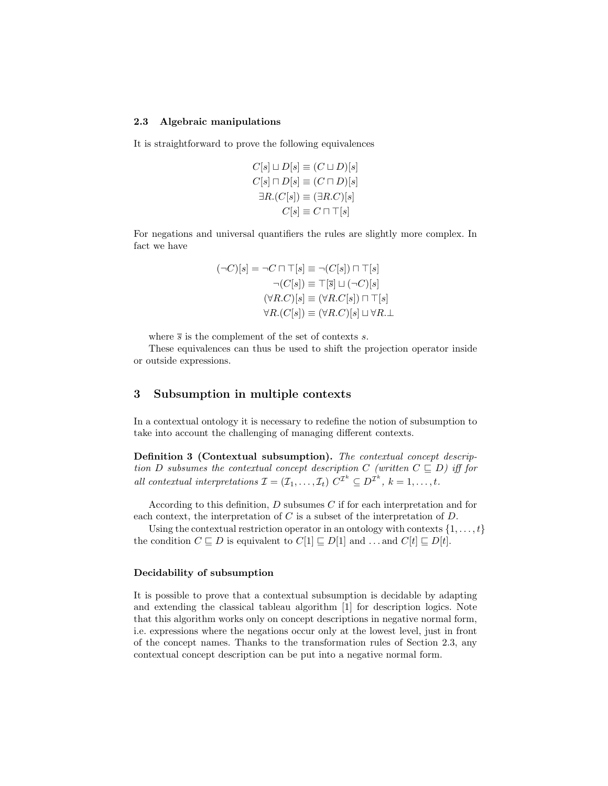#### 2.3 Algebraic manipulations

It is straightforward to prove the following equivalences

$$
C[s] \sqcup D[s] \equiv (C \sqcup D)[s]
$$
  

$$
C[s] \sqcap D[s] \equiv (C \sqcap D)[s]
$$
  

$$
\exists R.(C[s]) \equiv (\exists R.C)[s]
$$
  

$$
C[s] \equiv C \sqcap \top[s]
$$

For negations and universal quantifiers the rules are slightly more complex. In fact we have

$$
(\neg C)[s] = \neg C \sqcap \top[s] \equiv \neg (C[s]) \sqcap \top[s]
$$

$$
\neg (C[s]) \equiv \top[\overline{s}] \sqcup (\neg C)[s]
$$

$$
(\forall R.C)[s] \equiv (\forall R.C[s]) \sqcap \top[s]
$$

$$
\forall R.(C[s]) \equiv (\forall R.C)[s] \sqcup \forall R.\bot
$$

where  $\bar{s}$  is the complement of the set of contexts s.

These equivalences can thus be used to shift the projection operator inside or outside expressions.

## 3 Subsumption in multiple contexts

In a contextual ontology it is necessary to redefine the notion of subsumption to take into account the challenging of managing different contexts.

Definition 3 (Contextual subsumption). The contextual concept description D subsumes the contextual concept description C (written  $C \subseteq D$ ) iff for all contextual interpretations  $\mathcal{I} = (\mathcal{I}_1, \dots, \mathcal{I}_t) C^{\mathcal{I}^k} \subseteq D^{\mathcal{I}^k}, k = 1, \dots, t$ .

According to this definition, D subsumes C if for each interpretation and for each context, the interpretation of  $C$  is a subset of the interpretation of  $D$ .

Using the contextual restriction operator in an ontology with contexts  $\{1, \ldots, t\}$ the condition  $C \sqsubseteq D$  is equivalent to  $C[1] \sqsubseteq D[1]$  and ... and  $C[t] \sqsubseteq D[t]$ .

### Decidability of subsumption

It is possible to prove that a contextual subsumption is decidable by adapting and extending the classical tableau algorithm [1] for description logics. Note that this algorithm works only on concept descriptions in negative normal form, i.e. expressions where the negations occur only at the lowest level, just in front of the concept names. Thanks to the transformation rules of Section 2.3, any contextual concept description can be put into a negative normal form.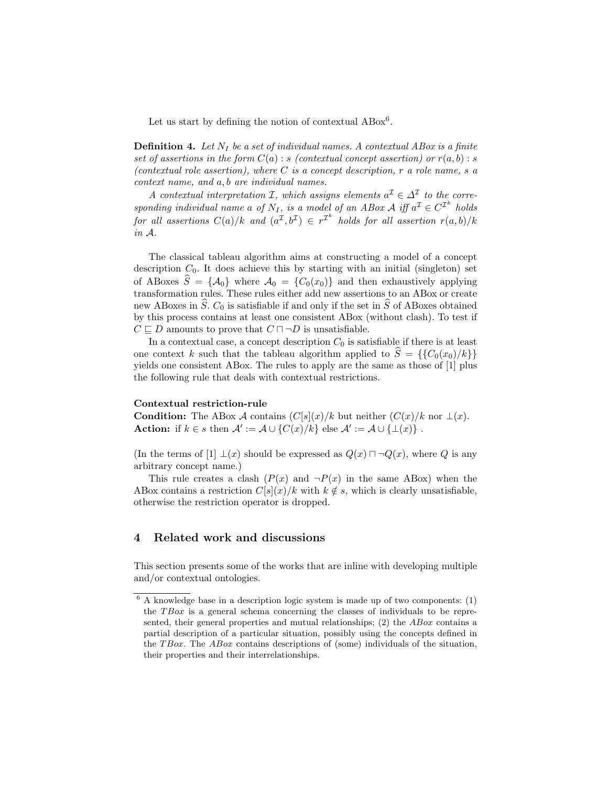Let us start by defining the notion of contextual  $\text{ABox}^6$ .

**Definition 4.** Let  $N_I$  be a set of individual names. A contextual ABox is a finite set of assertions in the form  $C(a)$ : s (contextual concept assertion) or  $r(a, b)$ : s (contextual role assertion), where  $C$  is a concept description, r a role name, s a context name, and a, b are individual names.

A contextual interpretation  $\mathcal{I}$ , which assigns elements  $a^{\mathcal{I}} \in \Delta^{\mathcal{I}}$  to the corresponding individual name a of  $N_I$ , is a model of an ABox A iff  $a^{\mathcal{I}} \in C^{\mathcal{I}^k}$  holds for all assertions  $C(a)/k$  and  $(a^{\mathcal{I}}, b^{\mathcal{I}}) \in r^{\mathcal{I}^k}$  holds for all assertion  $r(a, b)/k$ in A.

The classical tableau algorithm aims at constructing a model of a concept description  $C_0$ . It does achieve this by starting with an initial (singleton) set of ABoxes  $\hat{S} = \{A_0\}$  where  $A_0 = \{C_0(x_0)\}$  and then exhaustively applying transformation rules. These rules either add new assertions to an ABox or create new ABoxes in  $\hat{S}$ .  $C_0$  is satisfiable if and only if the set in  $\hat{S}$  of ABoxes obtained by this process contains at least one consistent ABox (without clash). To test if  $C \subseteq D$  amounts to prove that  $C \sqcap \neg D$  is unsatisfiable.

In a contextual case, a concept description  $C_0$  is satisfiable if there is at least one context k such that the tableau algorithm applied to  $S = \{\{C_0(x_0)/k\}\}\$ yields one consistent ABox. The rules to apply are the same as those of [1] plus the following rule that deals with contextual restrictions.

#### Contextual restriction-rule

**Condition:** The ABox A contains  $(C[s](x)/k$  but neither  $(C(x)/k$  nor  $\perp(x)$ . Action: if  $k \in s$  then  $\mathcal{A}' := \mathcal{A} \cup \{C(x)/k\}$  else  $\mathcal{A}' := \mathcal{A} \cup \{\perp(x)\}\$ .

(In the terms of [1]  $\perp(x)$  should be expressed as  $Q(x) \sqcap \neg Q(x)$ , where Q is any arbitrary concept name.)

This rule creates a clash  $(P(x)$  and  $\neg P(x)$  in the same ABox) when the ABox contains a restriction  $C[s](x)/k$  with  $k \notin s$ , which is clearly unsatisfiable, otherwise the restriction operator is dropped.

## 4 Related work and discussions

This section presents some of the works that are inline with developing multiple and/or contextual ontologies.

 $6$  A knowledge base in a description logic system is made up of two components:  $(1)$ the *TBox* is a general schema concerning the classes of individuals to be represented, their general properties and mutual relationships; (2) the *ABox* contains a partial description of a particular situation, possibly using the concepts defined in the *TBox*. The *ABox* contains descriptions of (some) individuals of the situation, their properties and their interrelationships.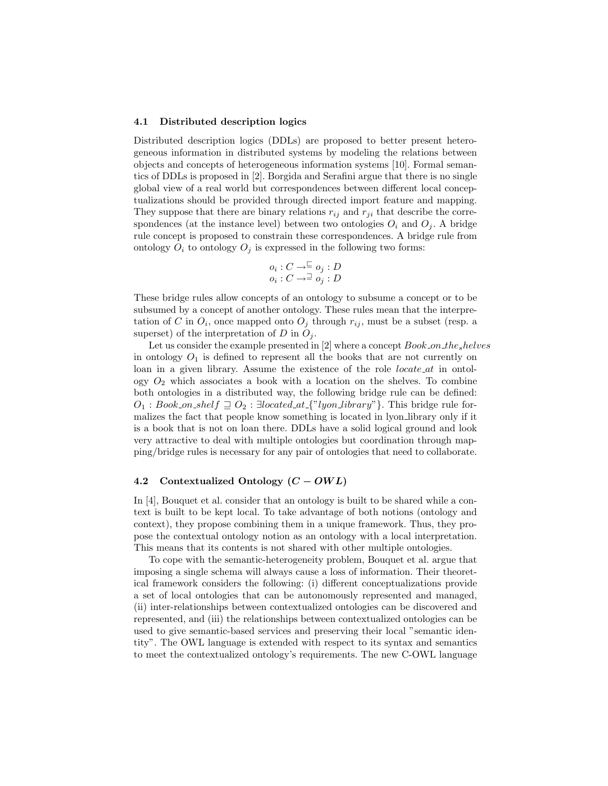#### 4.1 Distributed description logics

Distributed description logics (DDLs) are proposed to better present heterogeneous information in distributed systems by modeling the relations between objects and concepts of heterogeneous information systems [10]. Formal semantics of DDLs is proposed in [2]. Borgida and Serafini argue that there is no single global view of a real world but correspondences between different local conceptualizations should be provided through directed import feature and mapping. They suppose that there are binary relations  $r_{ij}$  and  $r_{ji}$  that describe the correspondences (at the instance level) between two ontologies  $O_i$  and  $O_j$ . A bridge rule concept is proposed to constrain these correspondences. A bridge rule from ontology  $O_i$  to ontology  $O_j$  is expressed in the following two forms:

$$
o_i : C \to \subseteq o_j : D
$$
  

$$
o_i : C \to \subseteq o_j : D
$$

These bridge rules allow concepts of an ontology to subsume a concept or to be subsumed by a concept of another ontology. These rules mean that the interpretation of C in  $O_i$ , once mapped onto  $O_i$  through  $r_{ij}$ , must be a subset (resp. a superset) of the interpretation of  $D$  in  $O_i$ .

Let us consider the example presented in [2] where a concept  $Book\_on\_the_s$  helves in ontology  $O_1$  is defined to represent all the books that are not currently on loan in a given library. Assume the existence of the role *locate\_at* in ontology  $O_2$  which associates a book with a location on the shelves. To combine both ontologies in a distributed way, the following bridge rule can be defined:  $O_1$ : Book\_on\_shelf  $\supseteq O_2$ :  $\exists located_at$ <sub>{</sub>"lyon\_library"}. This bridge rule formalizes the fact that people know something is located in lyon library only if it is a book that is not on loan there. DDLs have a solid logical ground and look very attractive to deal with multiple ontologies but coordination through mapping/bridge rules is necessary for any pair of ontologies that need to collaborate.

### 4.2 Contextualized Ontology (*C* − *OWL*)

In [4], Bouquet et al. consider that an ontology is built to be shared while a context is built to be kept local. To take advantage of both notions (ontology and context), they propose combining them in a unique framework. Thus, they propose the contextual ontology notion as an ontology with a local interpretation. This means that its contents is not shared with other multiple ontologies.

To cope with the semantic-heterogeneity problem, Bouquet et al. argue that imposing a single schema will always cause a loss of information. Their theoretical framework considers the following: (i) different conceptualizations provide a set of local ontologies that can be autonomously represented and managed, (ii) inter-relationships between contextualized ontologies can be discovered and represented, and (iii) the relationships between contextualized ontologies can be used to give semantic-based services and preserving their local "semantic identity". The OWL language is extended with respect to its syntax and semantics to meet the contextualized ontology's requirements. The new C-OWL language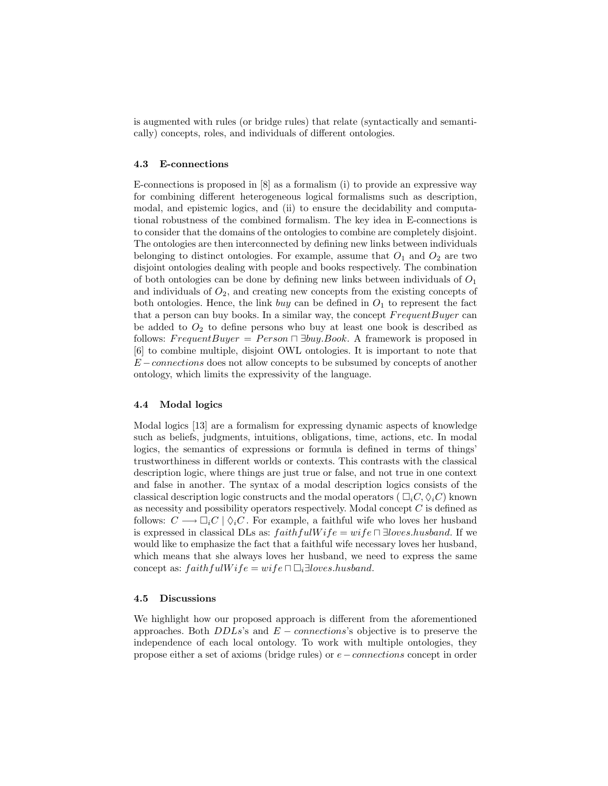is augmented with rules (or bridge rules) that relate (syntactically and semantically) concepts, roles, and individuals of different ontologies.

#### 4.3 E-connections

E-connections is proposed in [8] as a formalism (i) to provide an expressive way for combining different heterogeneous logical formalisms such as description, modal, and epistemic logics, and (ii) to ensure the decidability and computational robustness of the combined formalism. The key idea in E-connections is to consider that the domains of the ontologies to combine are completely disjoint. The ontologies are then interconnected by defining new links between individuals belonging to distinct ontologies. For example, assume that  $O_1$  and  $O_2$  are two disjoint ontologies dealing with people and books respectively. The combination of both ontologies can be done by defining new links between individuals of  $O_1$ and individuals of  $O_2$ , and creating new concepts from the existing concepts of both ontologies. Hence, the link buy can be defined in  $O_1$  to represent the fact that a person can buy books. In a similar way, the concept  $FrequentBuper$  can be added to  $O_2$  to define persons who buy at least one book is described as follows: FrequentBuyer =  $Person \sqcap \exists buy. Book$ . A framework is proposed in [6] to combine multiple, disjoint OWL ontologies. It is important to note that  $E$  – connections does not allow concepts to be subsumed by concepts of another ontology, which limits the expressivity of the language.

### 4.4 Modal logics

Modal logics [13] are a formalism for expressing dynamic aspects of knowledge such as beliefs, judgments, intuitions, obligations, time, actions, etc. In modal logics, the semantics of expressions or formula is defined in terms of things' trustworthiness in different worlds or contexts. This contrasts with the classical description logic, where things are just true or false, and not true in one context and false in another. The syntax of a modal description logics consists of the classical description logic constructs and the modal operators ( $\Box_i C, \Diamond_i C$ ) known as necessity and possibility operators respectively. Modal concept C is defined as follows:  $C \longrightarrow \Box_i C \mid \Diamond_i C$ . For example, a faithful wife who loves her husband is expressed in classical DLs as:  $faithfullWife = wife \sqcap \exists loves.husband$ . If we would like to emphasize the fact that a faithful wife necessary loves her husband, which means that she always loves her husband, we need to express the same concept as:  $faithfullWife = wife \sqcap \square_i \exists loves.husband.$ 

### 4.5 Discussions

We highlight how our proposed approach is different from the aforementioned approaches. Both  $DDEs$ 's and  $E$  – *connections*'s objective is to preserve the independence of each local ontology. To work with multiple ontologies, they propose either a set of axioms (bridge rules) or e−connections concept in order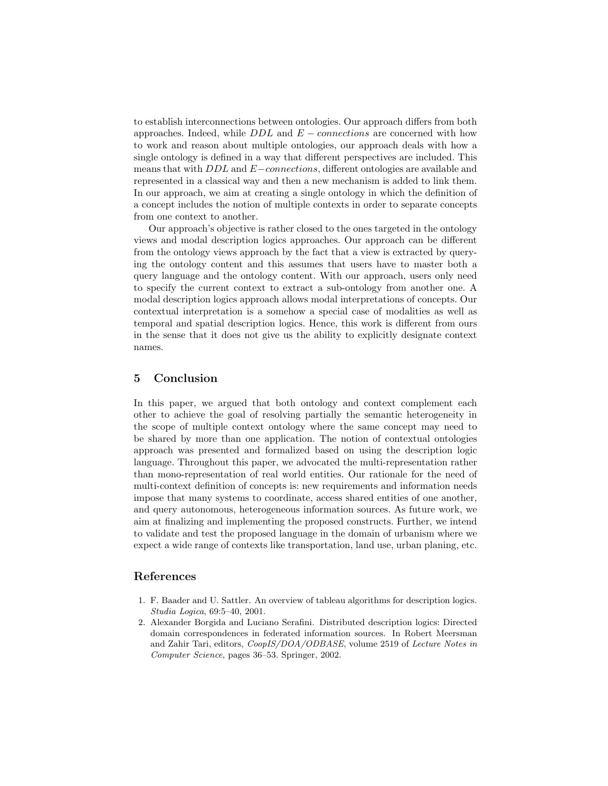to establish interconnections between ontologies. Our approach differs from both approaches. Indeed, while  $DDL$  and  $E$  – *connections* are concerned with how to work and reason about multiple ontologies, our approach deals with how a single ontology is defined in a way that different perspectives are included. This means that with DDL and E−connections, different ontologies are available and represented in a classical way and then a new mechanism is added to link them. In our approach, we aim at creating a single ontology in which the definition of a concept includes the notion of multiple contexts in order to separate concepts from one context to another.

Our approach's objective is rather closed to the ones targeted in the ontology views and modal description logics approaches. Our approach can be different from the ontology views approach by the fact that a view is extracted by querying the ontology content and this assumes that users have to master both a query language and the ontology content. With our approach, users only need to specify the current context to extract a sub-ontology from another one. A modal description logics approach allows modal interpretations of concepts. Our contextual interpretation is a somehow a special case of modalities as well as temporal and spatial description logics. Hence, this work is different from ours in the sense that it does not give us the ability to explicitly designate context names.

## 5 Conclusion

In this paper, we argued that both ontology and context complement each other to achieve the goal of resolving partially the semantic heterogeneity in the scope of multiple context ontology where the same concept may need to be shared by more than one application. The notion of contextual ontologies approach was presented and formalized based on using the description logic language. Throughout this paper, we advocated the multi-representation rather than mono-representation of real world entities. Our rationale for the need of multi-context definition of concepts is: new requirements and information needs impose that many systems to coordinate, access shared entities of one another, and query autonomous, heterogeneous information sources. As future work, we aim at finalizing and implementing the proposed constructs. Further, we intend to validate and test the proposed language in the domain of urbanism where we expect a wide range of contexts like transportation, land use, urban planing, etc.

## References

- 1. F. Baader and U. Sattler. An overview of tableau algorithms for description logics. *Studia Logica*, 69:5–40, 2001.
- 2. Alexander Borgida and Luciano Serafini. Distributed description logics: Directed domain correspondences in federated information sources. In Robert Meersman and Zahir Tari, editors, *CoopIS/DOA/ODBASE*, volume 2519 of *Lecture Notes in Computer Science*, pages 36–53. Springer, 2002.